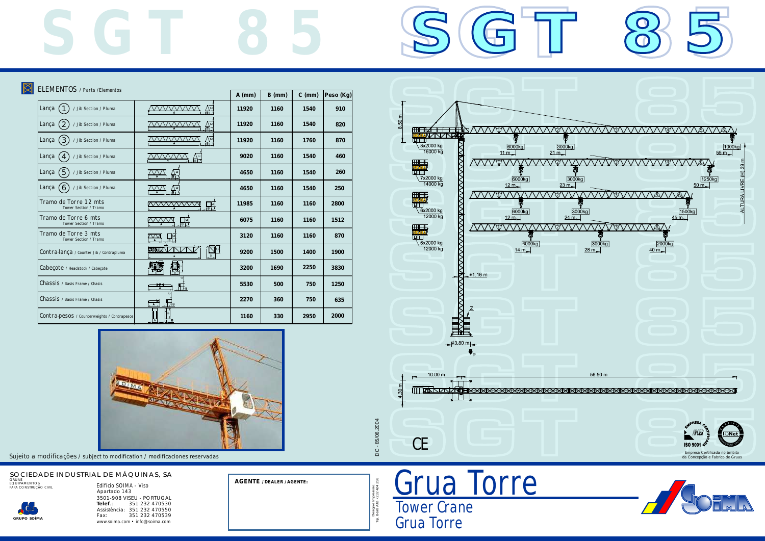

*Tower Crane Grua Torre*

*Tip. Beira Alta • 232 424 258* D Design e Impressão:<br>Beira Alta • 232 424 258 *Design e Impressão:* ۲ë.

| ELEMENTOS / Parts /Elementos                       |                                             | $A$ (mm) | $B$ (mm) | $C$ (mm) | Peso (Kg) |
|----------------------------------------------------|---------------------------------------------|----------|----------|----------|-----------|
| Lança<br>$\mathbf{1}$<br>/ Jib Section / Pluma     | $\mathbb{A}^{\circ}_{\mathbb{B}}$           | 11920    | 1160     | 1540     | 910       |
| Lança<br>2<br>/ Jib Section / Pluma                | $\mathbb{A}^{\mathsf{cl}}$                  | 11920    | 1160     | 1540     | 820       |
| $\left(3\right)$<br>Lança<br>/ Jib Section / Pluma | 쓻                                           | 11920    | 1160     | 1760     | 870       |
| Lança<br>$\overline{4}$<br>/ Jib Section / Pluma   | AL                                          | 9020     | 1160     | 1540     | 460       |
| 5<br>Lança<br>/ Jib Section / Pluma                | $\frac{\Delta}{\Box}$                       | 4650     | 1160     | 1540     | 260       |
| Lança<br>$\overline{6}$<br>/ Jib Section / Pluma   | $\bigwedge_{ \mathsf{B} =1}^{\mathsf{C}}$   | 4650     | 1160     | 1540     | 250       |
| Tramo de Torre 12 mts<br>Tower Section / Tramo     | 開                                           | 11985    | 1160     | 1160     | 2800      |
| Tramo de Torre 6 mts<br>Tower Section / Tramo      | mmm<br>品                                    | 6075     | 1160     | 1160     | 1512      |
| Tramo de Torre 3 mts<br>Tower Section / Tramo      | M<br>ाडा                                    | 3120     | 1160     | 1160     | 870       |
| Contra-lança / Counter Jib / Contrapluma           | ∐⊴<br>SOHMAN                                | 9200     | 1500     | 1400     | 1900      |
| Cabeçote / Headstock / Cabeçote                    |                                             | 3200     | 1690     | 2250     | 3830      |
| Chassis / Basis Frame / Chasis                     | $\mathbb{H}_{\mathsf{B}}$                   | 5530     | 500      | 750      | 1250      |
| Chassis / Basis Frame / Chasis                     | $\mathbb{H}_{\mathsf{B}}$<br>$\overline{A}$ | 2270     | 360      | 750      | 635       |
| Contra-pesos / Counterweights / Contrapesos        |                                             | 1160     | 330      | 2950     | 2000      |
|                                                    |                                             |          |          |          |           |



## *SOCIEDADE INDUSTRIAL DE MÁQUINAS, SA GRUAS EQUIPAMENTOS PARA CONSTRUÇÃO CIVIL Edifício SOIMA - Viso*

 $\boxtimes$ 

*3501-908 VISEU - PORTUGAL Apartado 143 Telef.: 351 232 470530 Assistência: 351 232 470550 Fax: 351 232 470539 www.soima.com • info@soima.com*



**AGENTE / DEALER / AGENTE:**

*Sujeito a modificações / subject to modification / modificaciones reservadas*